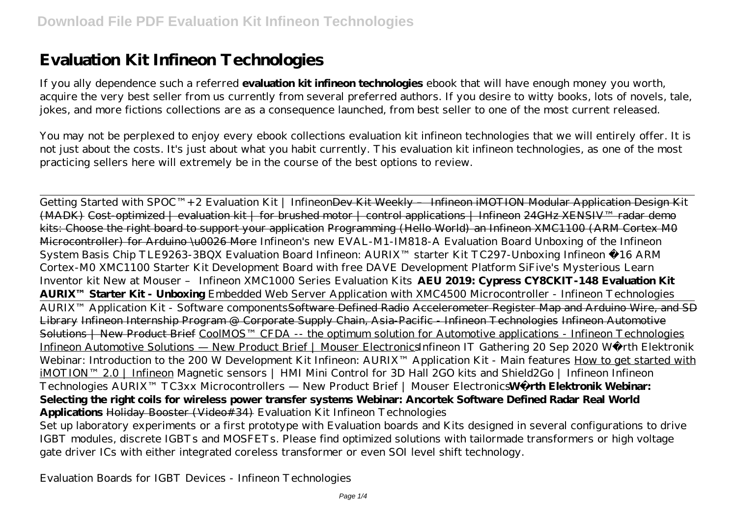# **Evaluation Kit Infineon Technologies**

If you ally dependence such a referred **evaluation kit infineon technologies** ebook that will have enough money you worth, acquire the very best seller from us currently from several preferred authors. If you desire to witty books, lots of novels, tale, jokes, and more fictions collections are as a consequence launched, from best seller to one of the most current released.

You may not be perplexed to enjoy every ebook collections evaluation kit infineon technologies that we will entirely offer. It is not just about the costs. It's just about what you habit currently. This evaluation kit infineon technologies, as one of the most practicing sellers here will extremely be in the course of the best options to review.

Getting Started with SPOC™+2 Evaluation Kit | Infineon<del>Dev Kit Weekly - Infineon iMOTION Modular Application Design Ki</del>t  $(MADK)$  Cost-optimized | evaluation kit | for brushed motor | control applications | Infineon 24GHz XENSIV<sup>IM</sup> radar demo kits: Choose the right board to support your application Programming (Hello World) an Infineon XMC1100 (ARM Cortex M0 Microcontroller) for Arduino \u0026 More *Infineon's new EVAL-M1-IM818-A Evaluation Board Unboxing of the Infineon System Basis Chip TLE9263-3BQX Evaluation Board Infineon: AURIX™ starter Kit TC297-Unboxing Infineon €16 ARM Cortex-M0 XMC1100 Starter Kit Development Board with free DAVE Development Platform SiFive's Mysterious Learn Inventor kit New at Mouser – Infineon XMC1000 Series Evaluation Kits* **AEU 2019: Cypress CY8CKIT-148 Evaluation Kit AURIX™ Starter Kit - Unboxing** Embedded Web Server Application with XMC4500 Microcontroller - Infineon Technologies AURIX<sup>™</sup> Application Kit - Software components<del>Software Defined Radio Accelerometer Register Map and Arduino Wire, and SD</del> Library Infineon Internship Program @ Corporate Supply Chain, Asia-Pacific - Infineon Technologies Infineon Automotive Solutions | New Product Brief CoolMOS™ CFDA -- the optimum solution for Automotive applications - Infineon Technologies Infineon Automotive Solutions — New Product Brief | Mouser Electronics*Infineon IT Gathering 20 Sep 2020* Würth Elektronik Webinar: Introduction to the 200 W Development Kit Infineon: AURIX™ Application Kit - Main features How to get started with iMOTION™ 2.0 | Infineon *Magnetic sensors | HMI Mini Control for 3D Hall 2GO kits and Shield2Go | Infineon* Infineon Technologies AURIX™ TC3xx Microcontrollers — New Product Brief | Mouser Electronics **Würth Elektronik Webinar: Selecting the right coils for wireless power transfer systems Webinar: Ancortek Software Defined Radar Real World Applications** Holiday Booster (Video#34) *Evaluation Kit Infineon Technologies*

Set up laboratory experiments or a first prototype with Evaluation boards and Kits designed in several configurations to drive IGBT modules, discrete IGBTs and MOSFETs. Please find optimized solutions with tailormade transformers or high voltage gate driver ICs with either integrated coreless transformer or even SOI level shift technology.

*Evaluation Boards for IGBT Devices - Infineon Technologies*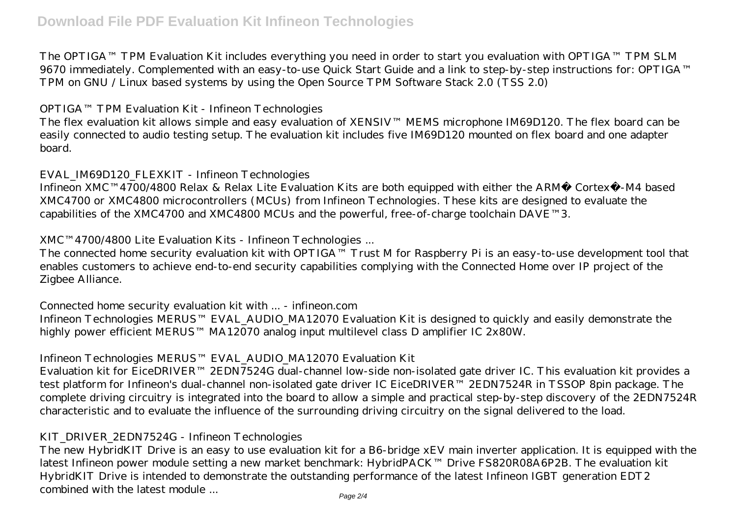The OPTIGA™ TPM Evaluation Kit includes everything you need in order to start you evaluation with OPTIGA™ TPM SLM 9670 immediately. Complemented with an easy-to-use Quick Start Guide and a link to step-by-step instructions for: OPTIGA™ TPM on GNU / Linux based systems by using the Open Source TPM Software Stack 2.0 (TSS 2.0)

#### *OPTIGA™ TPM Evaluation Kit - Infineon Technologies*

The flex evaluation kit allows simple and easy evaluation of XENSIV™ MEMS microphone IM69D120. The flex board can be easily connected to audio testing setup. The evaluation kit includes five IM69D120 mounted on flex board and one adapter board.

#### *EVAL\_IM69D120\_FLEXKIT - Infineon Technologies*

Infineon XMC™4700/4800 Relax & Relax Lite Evaluation Kits are both equipped with either the ARM® Cortex®-M4 based XMC4700 or XMC4800 microcontrollers (MCUs) from Infineon Technologies. These kits are designed to evaluate the capabilities of the XMC4700 and XMC4800 MCUs and the powerful, free-of-charge toolchain DAVE™3.

## *XMC™4700/4800 Lite Evaluation Kits - Infineon Technologies ...*

The connected home security evaluation kit with OPTIGA™ Trust M for Raspberry Pi is an easy-to-use development tool that enables customers to achieve end-to-end security capabilities complying with the Connected Home over IP project of the Zigbee Alliance.

## *Connected home security evaluation kit with ... - infineon.com*

Infineon Technologies MERUS™ EVAL\_AUDIO\_MA12070 Evaluation Kit is designed to quickly and easily demonstrate the highly power efficient MERUS™ MA12070 analog input multilevel class D amplifier IC 2x80W.

# *Infineon Technologies MERUS™ EVAL\_AUDIO\_MA12070 Evaluation Kit*

Evaluation kit for EiceDRIVER™ 2EDN7524G dual-channel low-side non-isolated gate driver IC. This evaluation kit provides a test platform for Infineon's dual-channel non-isolated gate driver IC EiceDRIVER™ 2EDN7524R in TSSOP 8pin package. The complete driving circuitry is integrated into the board to allow a simple and practical step-by-step discovery of the 2EDN7524R characteristic and to evaluate the influence of the surrounding driving circuitry on the signal delivered to the load.

## *KIT\_DRIVER\_2EDN7524G - Infineon Technologies*

The new HybridKIT Drive is an easy to use evaluation kit for a B6-bridge xEV main inverter application. It is equipped with the latest Infineon power module setting a new market benchmark: HybridPACK™ Drive FS820R08A6P2B. The evaluation kit HybridKIT Drive is intended to demonstrate the outstanding performance of the latest Infineon IGBT generation EDT2 combined with the latest module ...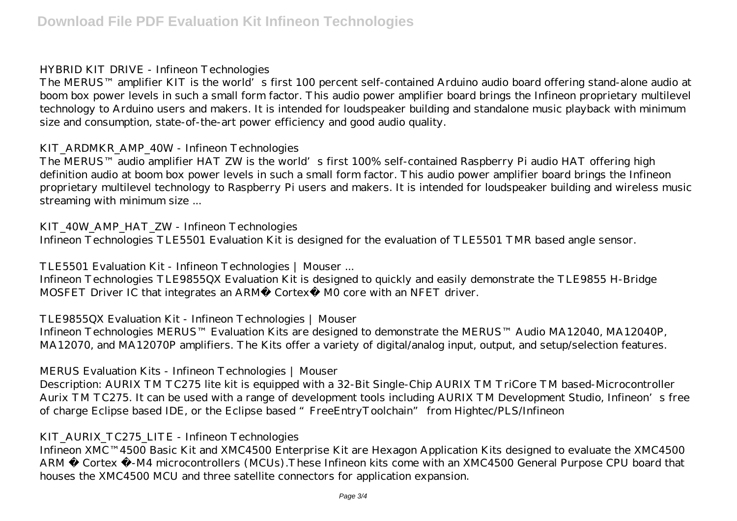#### *HYBRID KIT DRIVE - Infineon Technologies*

The MERUS™ amplifier KIT is the world's first 100 percent self-contained Arduino audio board offering stand-alone audio at boom box power levels in such a small form factor. This audio power amplifier board brings the Infineon proprietary multilevel technology to Arduino users and makers. It is intended for loudspeaker building and standalone music playback with minimum size and consumption, state-of-the-art power efficiency and good audio quality.

# *KIT\_ARDMKR\_AMP\_40W - Infineon Technologies*

The MERUS™ audio amplifier HAT ZW is the world's first 100% self-contained Raspberry Pi audio HAT offering high definition audio at boom box power levels in such a small form factor. This audio power amplifier board brings the Infineon proprietary multilevel technology to Raspberry Pi users and makers. It is intended for loudspeaker building and wireless music streaming with minimum size ...

## *KIT\_40W\_AMP\_HAT\_ZW - Infineon Technologies*

Infineon Technologies TLE5501 Evaluation Kit is designed for the evaluation of TLE5501 TMR based angle sensor.

# *TLE5501 Evaluation Kit - Infineon Technologies | Mouser ...*

Infineon Technologies TLE9855QX Evaluation Kit is designed to quickly and easily demonstrate the TLE9855 H-Bridge MOSFET Driver IC that integrates an ARM® Cortex® M0 core with an NFET driver.

## *TLE9855QX Evaluation Kit - Infineon Technologies | Mouser*

Infineon Technologies MERUS™ Evaluation Kits are designed to demonstrate the MERUS™ Audio MA12040, MA12040P, MA12070, and MA12070P amplifiers. The Kits offer a variety of digital/analog input, output, and setup/selection features.

## *MERUS Evaluation Kits - Infineon Technologies | Mouser*

Description: AURIX TM TC275 lite kit is equipped with a 32-Bit Single-Chip AURIX TM TriCore TM based-Microcontroller Aurix TM TC275. It can be used with a range of development tools including AURIX TM Development Studio, Infineon's free of charge Eclipse based IDE, or the Eclipse based "FreeEntryToolchain" from Hightec/PLS/Infineon

## *KIT\_AURIX\_TC275\_LITE - Infineon Technologies*

Infineon XMC™4500 Basic Kit and XMC4500 Enterprise Kit are Hexagon Application Kits designed to evaluate the XMC4500 ARM ® Cortex ®-M4 microcontrollers (MCUs). These Infineon kits come with an XMC4500 General Purpose CPU board that houses the XMC4500 MCU and three satellite connectors for application expansion.